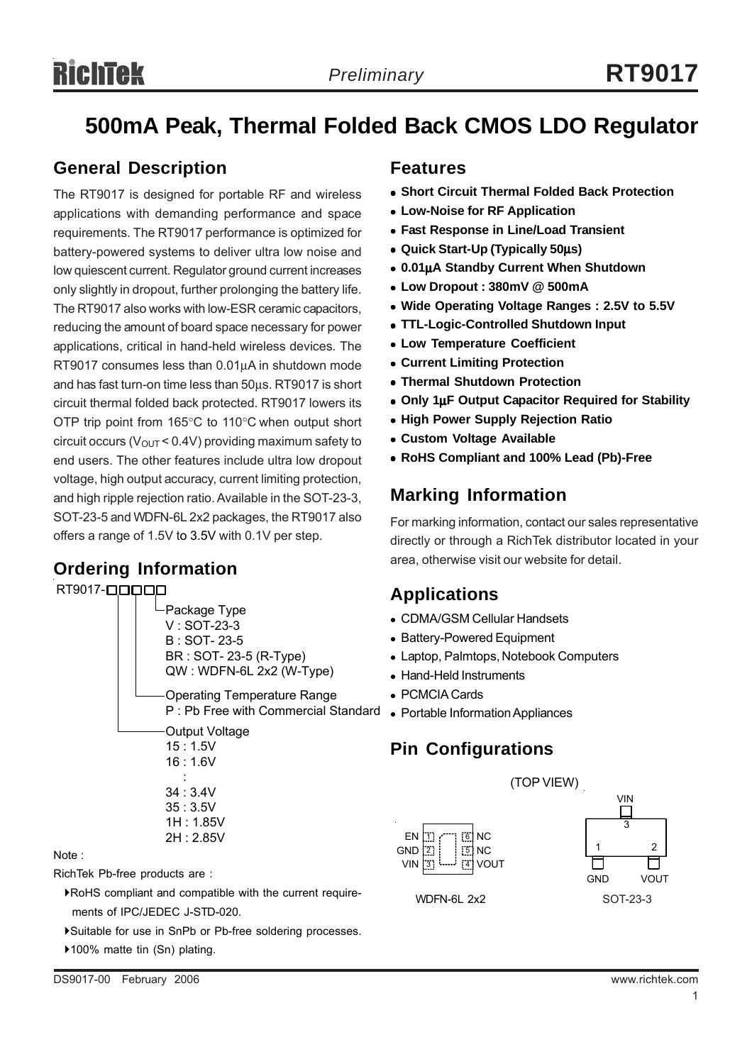# **500mA Peak, Thermal Folded Back CMOS LDO Regulator**

#### **General Description**

The RT9017 is designed for portable RF and wireless applications with demanding performance and space requirements. The RT9017 performance is optimized for battery-powered systems to deliver ultra low noise and low quiescent current. Regulator ground current increases only slightly in dropout, further prolonging the battery life. The RT9017 also works with low-ESR ceramic capacitors, reducing the amount of board space necessary for power applications, critical in hand-held wireless devices. The RT9017 consumes less than 0.01μA in shutdown mode and has fast turn-on time less than 50μs. RT9017 is short circuit thermal folded back protected. RT9017 lowers its OTP trip point from 165°C to 110°C when output short circuit occurs ( $V_{\text{OUT}}$  < 0.4V) providing maximum safety to end users. The other features include ultra low dropout voltage, high output accuracy, current limiting protection, and high ripple rejection ratio. Available in the SOT-23-3, SOT-23-5 and WDFN-6L 2x2 packages, the RT9017 also offers a range of 1.5V to 3.5V with 0.1V per step.

#### **Ordering Information**



#### Note :

RichTek Pb-free products are :

- `RoHS compliant and compatible with the current require ments of IPC/JEDEC J-STD-020.
- `Suitable for use in SnPb or Pb-free soldering processes.
- ▶100% matte tin (Sn) plating.

#### **Features**

- **Short Circuit Thermal Folded Back Protection**
- **Low-Noise for RF Application**
- **Fast Response in Line/Load Transient**
- <sup>z</sup> **Quick Start-Up (Typically 50**μ**s)**
- <sup>z</sup> **0.01**μ**A Standby Current When Shutdown**
- <sup>z</sup> **Low Dropout : 380mV @ 500mA**
- Wide Operating Voltage Ranges : 2.5V to 5.5V
- <sup>z</sup> **TTL-Logic-Controlled Shutdown Input**
- **Low Temperature Coefficient**
- **Current Limiting Protection**
- **Thermal Shutdown Protection**
- Only 1μF Output Capacitor Required for Stability
- **High Power Supply Rejection Ratio**
- **Custom Voltage Available**
- <sup>z</sup> **RoHS Compliant and 100% Lead (Pb)-Free**

#### **Marking Information**

For marking information, contact our sales representative directly or through a RichTek distributor located in your area, otherwise visit our website for detail.

#### **Applications**

- CDMA/GSM Cellular Handsets
- Battery-Powered Equipment
- Laptop, Palmtops, Notebook Computers
- Hand-Held Instruments
- PCMCIA Cards
- 

#### **Pin Configurations**



WDFN-6L 2x2

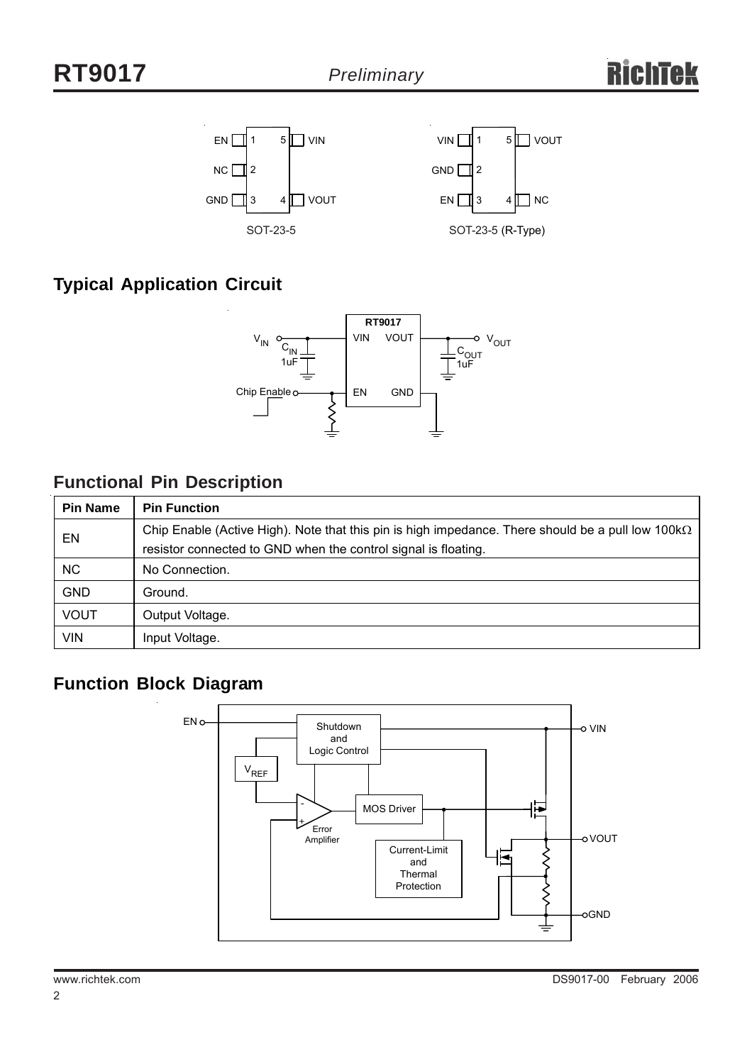

# **Typical Application Circuit**



### **Functional Pin Description**

| <b>Pin Name</b> | <b>Pin Function</b>                                                                                                                                                          |
|-----------------|------------------------------------------------------------------------------------------------------------------------------------------------------------------------------|
| EN              | Chip Enable (Active High). Note that this pin is high impedance. There should be a pull low 100 k $\Omega$<br>resistor connected to GND when the control signal is floating. |
| <b>NC</b>       | No Connection.                                                                                                                                                               |
| <b>GND</b>      | Ground.                                                                                                                                                                      |
| <b>VOUT</b>     | Output Voltage.                                                                                                                                                              |
| <b>VIN</b>      | Input Voltage.                                                                                                                                                               |

# **Function Block Diagram**

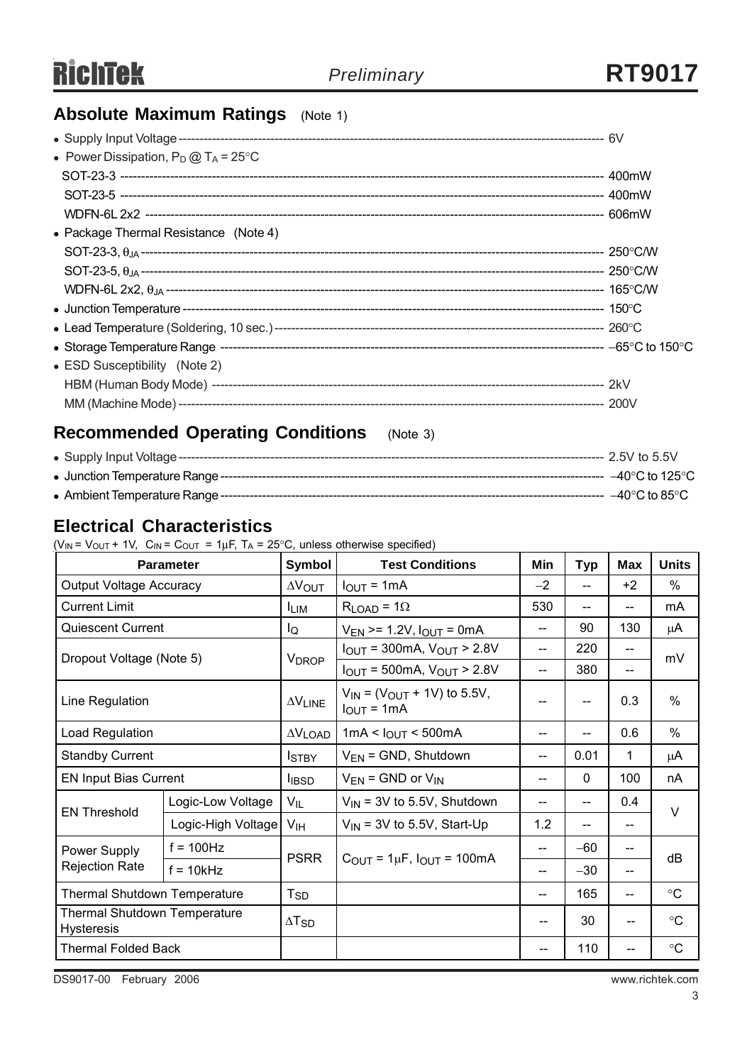# **Absolute Maximum Ratings** (Note 1)

| • Power Dissipation, $P_D @ T_A = 25^{\circ}C$ |  |
|------------------------------------------------|--|
|                                                |  |
|                                                |  |
|                                                |  |
| • Package Thermal Resistance (Note 4)          |  |
|                                                |  |
|                                                |  |
|                                                |  |
|                                                |  |
|                                                |  |
|                                                |  |
| • ESD Susceptibility (Note 2)                  |  |
|                                                |  |
|                                                |  |

# **Recommended Operating Conditions** (Note 3)

|  | –40°C to 125°C |
|--|----------------|
|  |                |

#### **Electrical Characteristics**

( $V_{IN}$  =  $V_{OUT}$  + 1V,  $C_{IN}$  =  $C_{OUT}$  = 1µF, T<sub>A</sub> = 25°C, unless otherwise specified)

| <b>Parameter</b>                                         |                    | <b>Symbol</b>            | <b>Test Conditions</b>                                                       | Min  | <b>Typ</b> | Max   | <b>Units</b>    |  |
|----------------------------------------------------------|--------------------|--------------------------|------------------------------------------------------------------------------|------|------------|-------|-----------------|--|
| <b>Output Voltage Accuracy</b>                           |                    | $\Delta V_{\text{OUT}}$  | $I_{\text{OUT}} = 1 \text{mA}$                                               | $-2$ | $-$        | $+2$  | $\%$            |  |
| <b>Current Limit</b>                                     |                    | <b>LIM</b>               | $R_{LOAD} = 1\Omega$                                                         | 530  | --         | $- -$ | mA              |  |
| <b>Quiescent Current</b>                                 |                    | lQ                       | $V_{EN}$ >= 1.2V, $I_{OUT}$ = 0mA                                            | --   | 90         | 130   | μA              |  |
|                                                          |                    |                          | $I_{OUT}$ = 300mA, $V_{OUT}$ > 2.8V                                          | --   | 220        | --    | mV              |  |
| Dropout Voltage (Note 5)                                 |                    | <b>V</b> <sub>DROP</sub> | $IOUT = 500mA, VOUT > 2.8V$                                                  | --   | 380        | --    |                 |  |
| Line Regulation                                          |                    | $\Delta V$ LINE          | $V_{IN}$ = ( $V_{OUT}$ + 1V) to 5.5V,<br>$I_{OUT} = 1mA$                     | --   | --         | 0.3   | $\%$            |  |
| Load Regulation                                          |                    | $\Delta V$ LOAD          | 1mA < $I_{OUT}$ < 500mA                                                      | --   | --         | 0.6   | $\%$            |  |
| <b>Standby Current</b>                                   |                    | <b>I</b> STBY            | $V_{EN}$ = GND, Shutdown                                                     | --   | 0.01       | 1     | μA              |  |
| <b>EN Input Bias Current</b>                             |                    | <b>I</b> <sub>IBSD</sub> | $V_{EN}$ = GND or $V_{IN}$                                                   | --   | 0          | 100   | nA              |  |
| <b>EN Threshold</b>                                      | Logic-Low Voltage  | V <sub>IL</sub>          | $V_{\text{IN}}$ = 3V to 5.5V, Shutdown                                       | --   | --         | 0.4   | V               |  |
|                                                          | Logic-High Voltage | V <sub>IH</sub>          | $V_{IN}$ = 3V to 5.5V, Start-Up                                              | 1.2  | --         | --    |                 |  |
| Power Supply<br><b>Rejection Rate</b>                    | $f = 100$ Hz       |                          | <b>PSRR</b><br>$C_{\text{OUT}} = 1 \mu F$ , $I_{\text{OUT}} = 100 \text{mA}$ | --   | $-60$      | --    | dB              |  |
|                                                          | $f = 10kHz$        |                          |                                                                              | --   | $-30$      | $- -$ |                 |  |
| Thermal Shutdown Temperature                             |                    | $T_{SD}$                 |                                                                              | $-$  | 165        | $- -$ | $\rm ^{\circ}C$ |  |
| <b>Thermal Shutdown Temperature</b><br><b>Hysteresis</b> |                    | $\Delta$ T <sub>SD</sub> |                                                                              | --   | 30         | $-$   | $\rm ^{\circ}C$ |  |
| <b>Thermal Folded Back</b>                               |                    |                          |                                                                              | --   | 110        | --    | $\rm ^{\circ}C$ |  |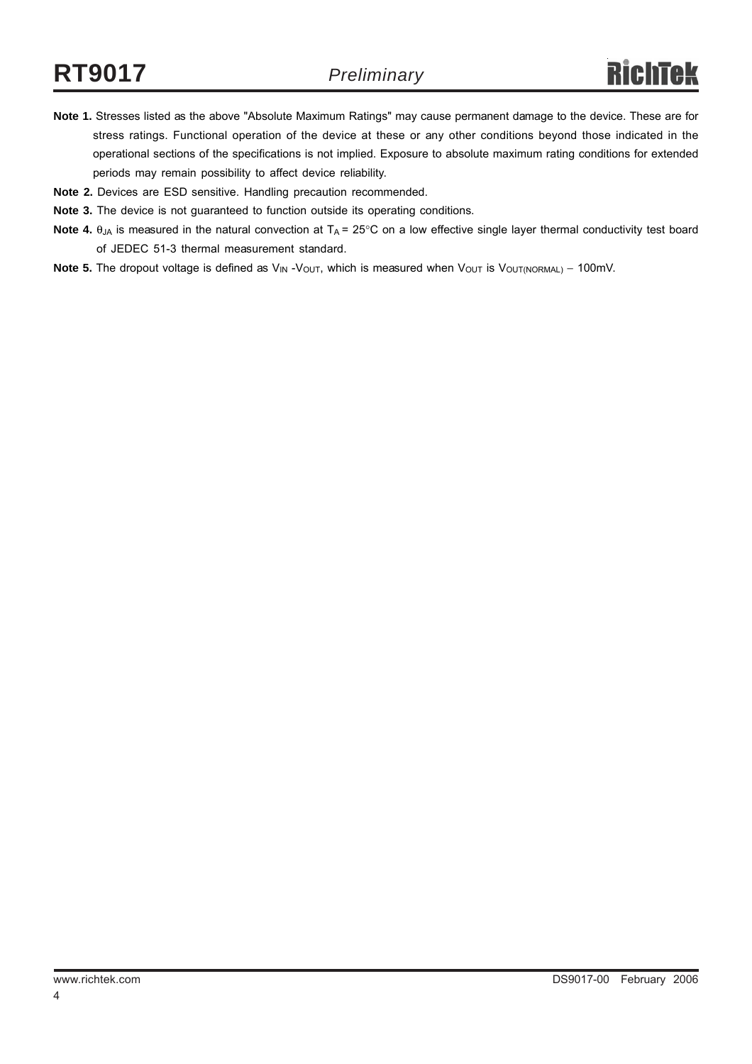- **Note 1.** Stresses listed as the above "Absolute Maximum Ratings" may cause permanent damage to the device. These are for stress ratings. Functional operation of the device at these or any other conditions beyond those indicated in the operational sections of the specifications is not implied. Exposure to absolute maximum rating conditions for extended periods may remain possibility to affect device reliability.
- **Note 2.** Devices are ESD sensitive. Handling precaution recommended.
- **Note 3.** The device is not guaranteed to function outside its operating conditions.
- Note 4. θ<sub>JA</sub> is measured in the natural convection at T<sub>A</sub> = 25°C on a low effective single layer thermal conductivity test board of JEDEC 51-3 thermal measurement standard.
- Note 5. The dropout voltage is defined as V<sub>IN</sub> -V<sub>OUT</sub>, which is measured when V<sub>OUT</sub> is V<sub>OUT(NORMAL)</sub> 100mV.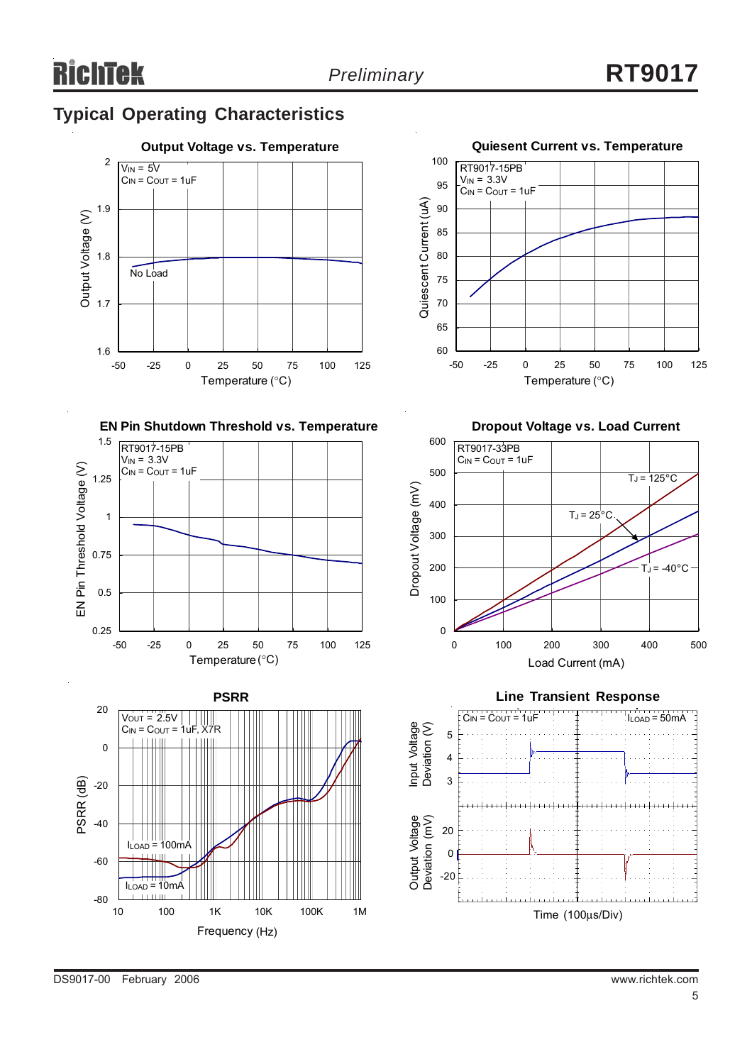# **Typical Operating Characteristics**





**EN Pin Shutdown Threshold vs. Temperature**





**Dropout Voltage vs. Load Current**





DS9017-00 February 2006 www.richtek.com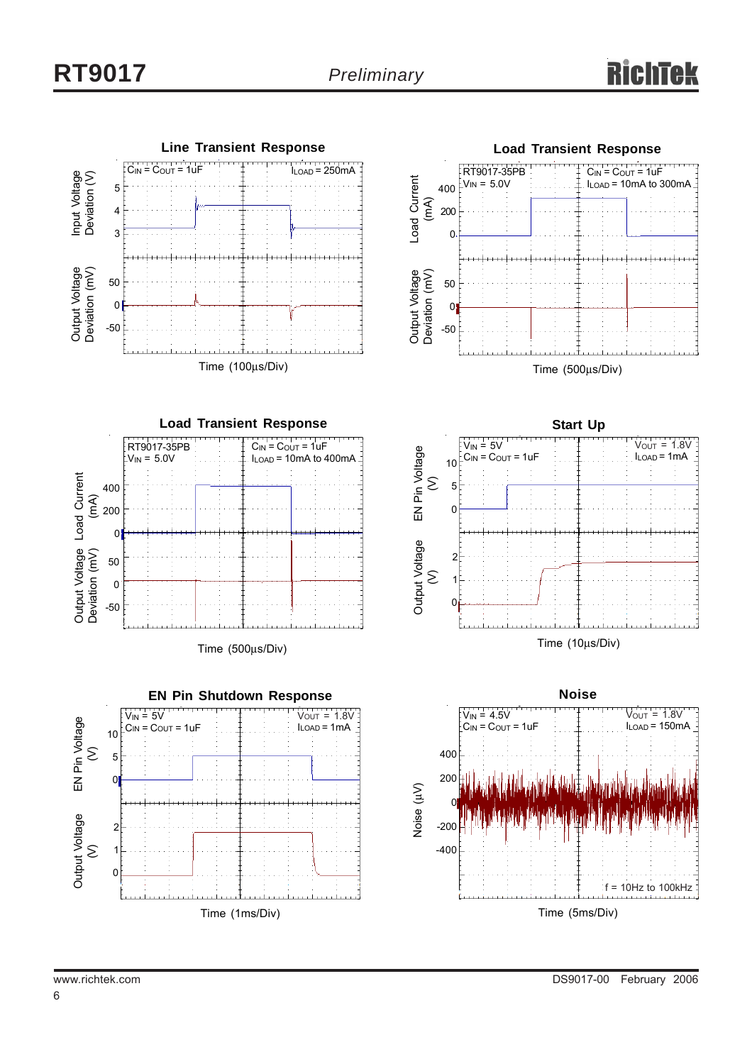



Time (500μs/Div)







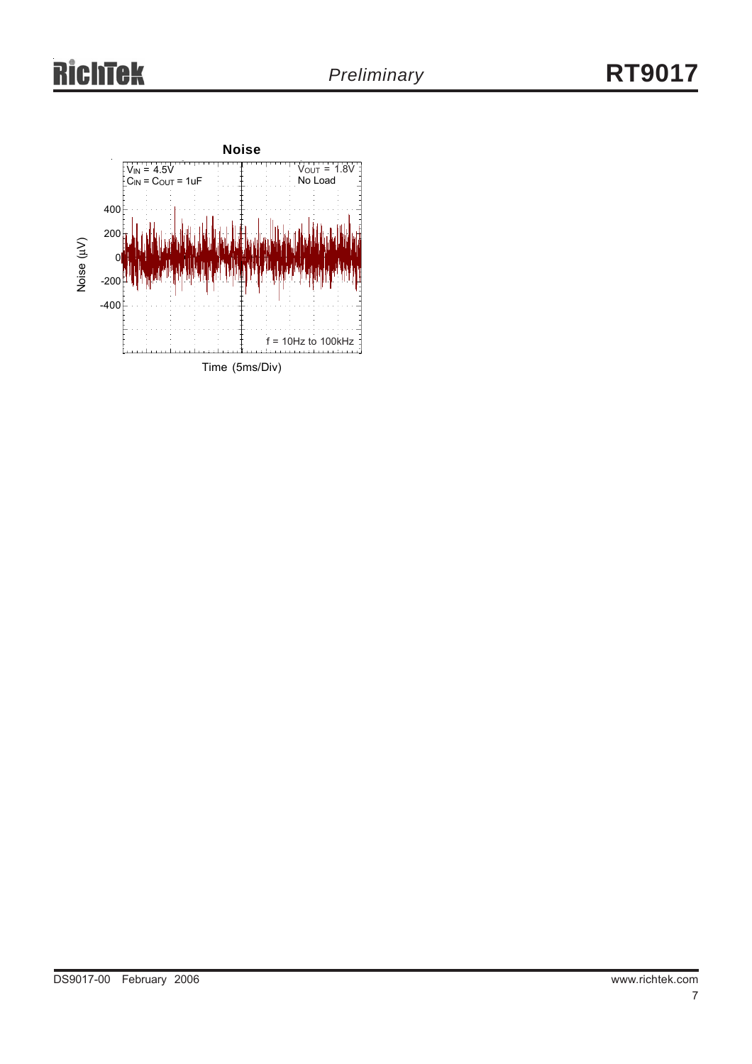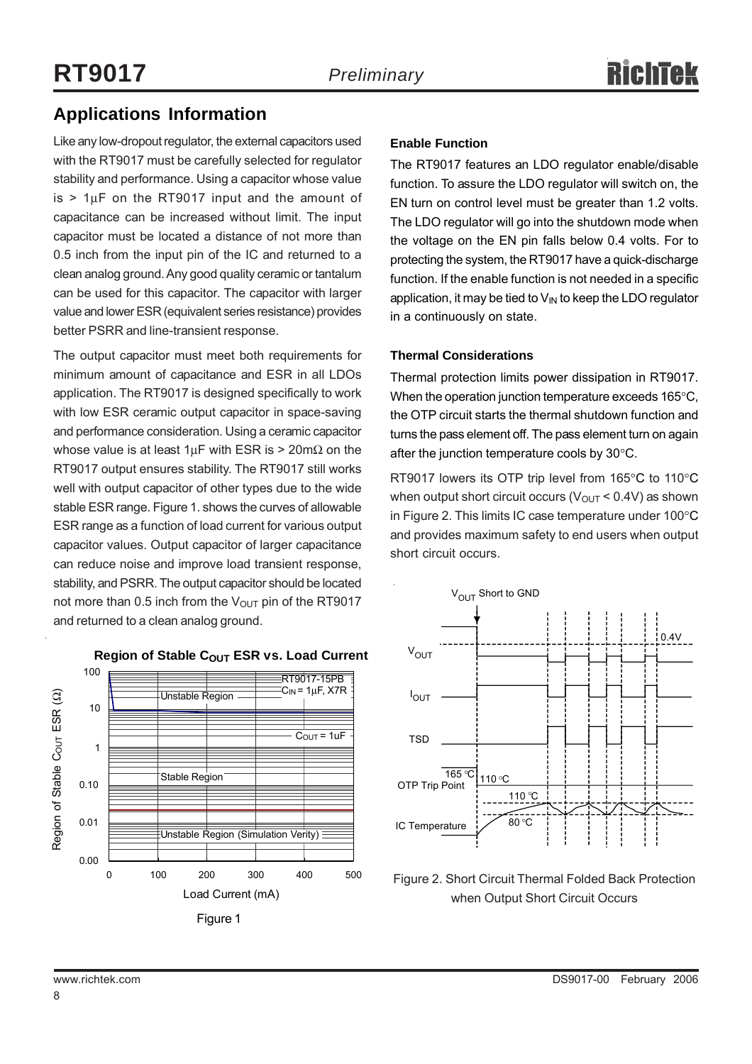### **Applications Information**

Like any low-dropout regulator, the external capacitors used with the RT9017 must be carefully selected for regulator stability and performance. Using a capacitor whose value  $is$  > 1 $\mu$ F on the RT9017 input and the amount of capacitance can be increased without limit. The input capacitor must be located a distance of not more than 0.5 inch from the input pin of the IC and returned to a clean analog ground. Any good quality ceramic or tantalum can be used for this capacitor. The capacitor with larger value and lower ESR (equivalent series resistance) provides better PSRR and line-transient response.

The output capacitor must meet both requirements for minimum amount of capacitance and ESR in all LDOs application. The RT9017 is designed specifically to work with low ESR ceramic output capacitor in space-saving and performance consideration. Using a ceramic capacitor whose value is at least  $1 \mu$ F with ESR is > 20m $\Omega$  on the RT9017 output ensures stability. The RT9017 still works well with output capacitor of other types due to the wide stable ESR range. Figure 1. shows the curves of allowable ESR range as a function of load current for various output capacitor values. Output capacitor of larger capacitance can reduce noise and improve load transient response, stability, and PSRR. The output capacitor should be located not more than 0.5 inch from the  $V_{\text{OUT}}$  pin of the RT9017 and returned to a clean analog ground.

#### **Enable Function**

The RT9017 features an LDO regulator enable/disable function. To assure the LDO regulator will switch on, the EN turn on control level must be greater than 1.2 volts. The LDO regulator will go into the shutdown mode when the voltage on the EN pin falls below 0.4 volts. For to protecting the system, the RT9017 have a quick-discharge function. If the enable function is not needed in a specific application, it may be tied to  $V_{IN}$  to keep the LDO regulator in a continuously on state.

#### **Thermal Considerations**

Thermal protection limits power dissipation in RT9017. When the operation junction temperature exceeds 165°C, the OTP circuit starts the thermal shutdown function and turns the pass element off. The pass element turn on again after the junction temperature cools by 30°C.

RT9017 lowers its OTP trip level from 165°C to 110°C when output short circuit occurs ( $V_{\text{OUT}}$  < 0.4V) as shown in Figure 2. This limits IC case temperature under 100°C and provides maximum safety to end users when output short circuit occurs.



Figure 2. Short Circuit Thermal Folded Back Protection when Output Short Circuit Occurs



#### **Region of Stable COUT ESR vs. Load Current**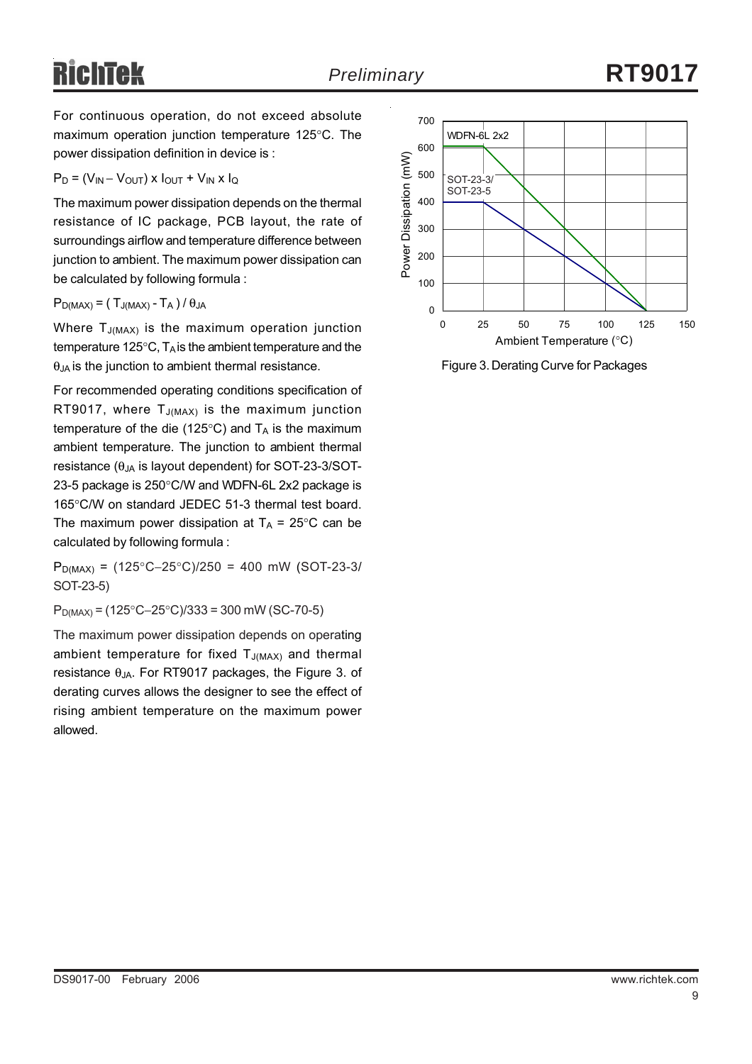# Richtek

For continuous operation, do not exceed absolute maximum operation junction temperature 125°C. The power dissipation definition in device is :

#### $P_D = (V_{IN} - V_{OUT}) \times I_{OUT} + V_{IN} \times I_Q$

The maximum power dissipation depends on the thermal resistance of IC package, PCB layout, the rate of surroundings airflow and temperature difference between junction to ambient. The maximum power dissipation can be calculated by following formula :

 $P_{D(MAX)} = (T_{J(MAX)} - T_A)/\theta_{JA}$ 

Where  $T_{J(MAX)}$  is the maximum operation junction temperature 125 $\degree$ C, T<sub>A</sub> is the ambient temperature and the  $\theta_{JA}$  is the junction to ambient thermal resistance.

For recommended operating conditions specification of RT9017, where  $T_{J(MAX)}$  is the maximum junction temperature of the die (125 $\degree$ C) and T<sub>A</sub> is the maximum ambient temperature. The junction to ambient thermal resistance ( $θ_{JA}$  is layout dependent) for SOT-23-3/SOT-23-5 package is 250°C/W and WDFN-6L 2x2 package is 165°C/W on standard JEDEC 51-3 thermal test board. The maximum power dissipation at  $T_A = 25^{\circ}$ C can be calculated by following formula :

 $P_{D(MAX)} = (125^{\circ}C - 25^{\circ}C)/250 = 400$  mW (SOT-23-3/ SOT-23-5)

PD(MAX) = (125°C−25°C)/333 = 300 mW (SC-70-5)

The maximum power dissipation depends on operating ambient temperature for fixed  $T_{J(MAX)}$  and thermal resistance  $\theta_{JA}$ . For RT9017 packages, the Figure 3. of derating curves allows the designer to see the effect of rising ambient temperature on the maximum power allowed.



Figure 3. Derating Curve for Packages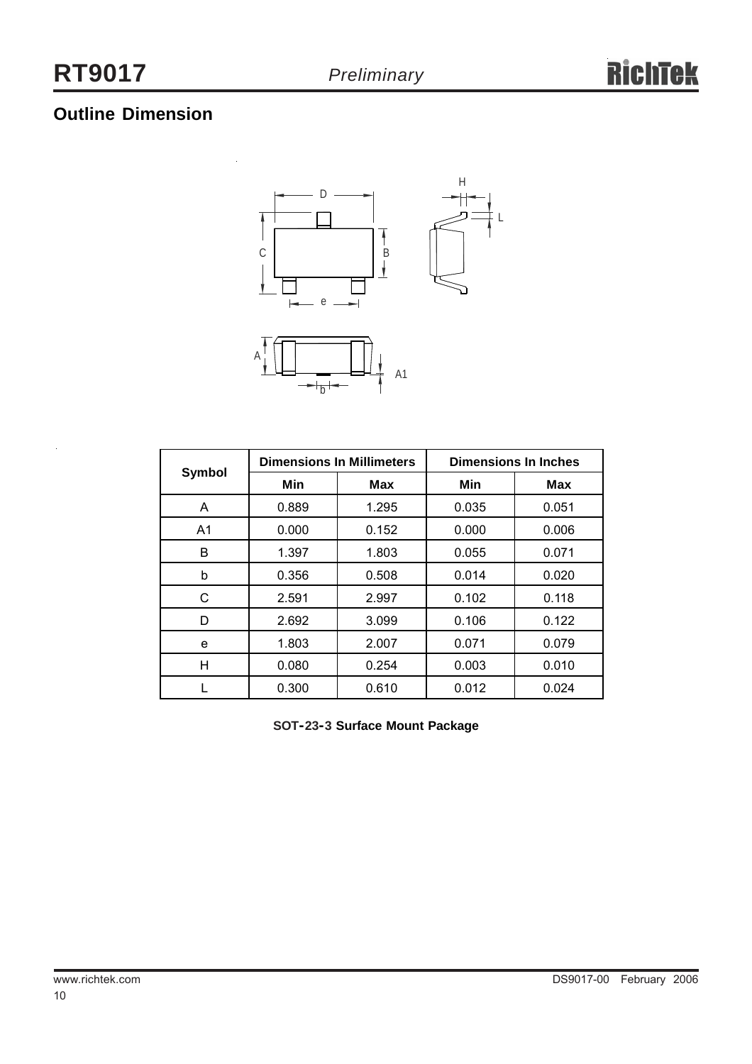# **Outline Dimension**

 $\ddot{\phantom{0}}$ 



|                |       | <b>Dimensions In Millimeters</b> | <b>Dimensions In Inches</b> |            |  |
|----------------|-------|----------------------------------|-----------------------------|------------|--|
| <b>Symbol</b>  | Min   | <b>Max</b>                       | Min                         | <b>Max</b> |  |
| A              | 0.889 | 1.295                            | 0.035                       | 0.051      |  |
| A <sub>1</sub> | 0.000 | 0.152                            | 0.000                       | 0.006      |  |
| B              | 1.397 | 1.803                            | 0.055                       | 0.071      |  |
| b              | 0.356 | 0.508                            | 0.014                       | 0.020      |  |
| C              | 2.591 | 2.997                            | 0.102                       | 0.118      |  |
| D              | 2.692 | 3.099                            | 0.106                       | 0.122      |  |
| е              | 1.803 | 2.007                            | 0.071                       | 0.079      |  |
| Н              | 0.080 | 0.254                            | 0.003                       | 0.010      |  |
|                | 0.300 | 0.610                            | 0.012                       | 0.024      |  |

**SOT-23-3 Surface Mount Package**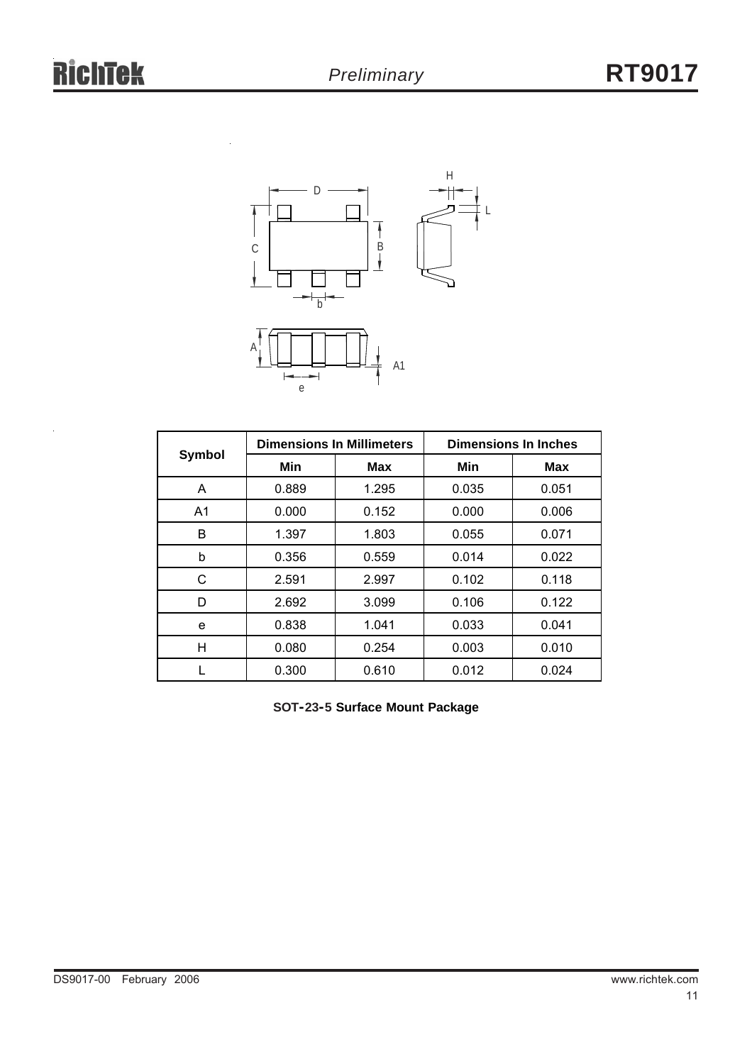

|                | <b>Dimensions In Millimeters</b> |            | <b>Dimensions In Inches</b> |            |  |
|----------------|----------------------------------|------------|-----------------------------|------------|--|
| Symbol         | Min                              | <b>Max</b> | Min                         | <b>Max</b> |  |
| A              | 0.889                            | 1.295      | 0.035                       | 0.051      |  |
| A <sub>1</sub> | 0.000                            | 0.152      | 0.000                       | 0.006      |  |
| в              | 1.397                            | 1.803      | 0.055                       | 0.071      |  |
| b              | 0.356                            | 0.559      | 0.014                       | 0.022      |  |
| С              | 2.591                            | 2.997      | 0.102                       | 0.118      |  |
| D              | 2.692                            | 3.099      | 0.106                       | 0.122      |  |
| e              | 0.838                            | 1.041      | 0.033                       | 0.041      |  |
| н              | 0.080                            | 0.254      | 0.003                       | 0.010      |  |
|                | 0.300                            | 0.610      | 0.012                       | 0.024      |  |

**SOT-23-5 Surface Mount Package**